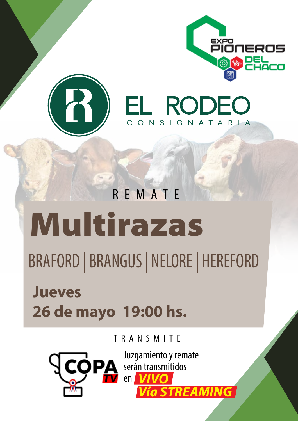

**EL RODEO** 

CONSIGNATARIA



Multirazas REMATE

BRAFORD | BRANGUS | NELORE | HEREFORD

**Jueves 26 de mayo 19:00 hs.**

TRANSMITE



Juzgamiento y remate serán transmitidos en *VIVO Vía STREAMING*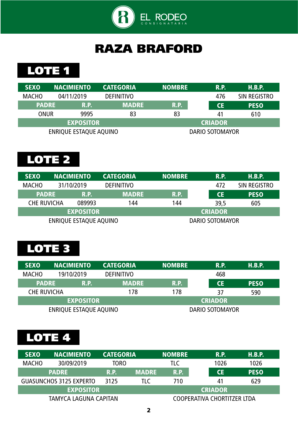

## RAZA BRAFORD

LOTE<sub>1</sub>

| <b>SEXO</b>  | <b>NACIMIENTO</b>      | <b>CATEGORIA</b>  | <b>NOMBRE</b> | <b>R.P.</b>     | H.B.P.       |
|--------------|------------------------|-------------------|---------------|-----------------|--------------|
| <b>MACHO</b> | 04/11/2019             | <b>DEFINITIVO</b> |               | 476             | SIN REGISTRO |
| <b>PADRE</b> | <b>R.P.</b>            | <b>MADRE</b>      | <b>R.P.</b>   | <b>CE</b>       | <b>PESO</b>  |
| ONUR         | 9995                   | 83                | 83            | 41              | 610          |
|              | <b>EXPOSITOR</b>       |                   |               | <b>CRIADOR</b>  |              |
|              | ENRIQUE ESTAQUE AQUINO |                   |               | DARIO SOTOMAYOR |              |

# LOTE 2

| <b>SEXO</b>        | <b>NACIMIENTO</b>      | <b>CATEGORIA</b>  | <b>NOMBRE</b> | R.P.                   | H.B.P.       |
|--------------------|------------------------|-------------------|---------------|------------------------|--------------|
| <b>MACHO</b>       | 31/10/2019             | <b>DEFINITIVO</b> |               | 472                    | SIN REGISTRO |
| <b>PADRE</b>       | <b>R.P.</b>            | <b>MADRE</b>      | <b>R.P.</b>   | <b>CE</b>              | <b>PESO</b>  |
| <b>CHE RUVICHA</b> | 089993                 | 144               | 144           | 39,5                   | 605          |
|                    | <b>EXPOSITOR</b>       |                   |               | <b>CRIADOR</b>         |              |
|                    | ENRIQUE ESTAQUE AQUINO |                   |               | <b>DARIO SOTOMAYOR</b> |              |

## LOTE 3

| <b>SEXO</b>        | <b>NACIMIENTO</b>      | <b>CATEGORIA</b>  | <b>NOMBRE</b>  | <b>R.P.</b>            | H.B.P.      |
|--------------------|------------------------|-------------------|----------------|------------------------|-------------|
| <b>MACHO</b>       | 19/10/2019             | <b>DEFINITIVO</b> |                | 468                    |             |
| <b>PADRE</b>       | R.P.                   | <b>MADRE</b>      | R.P.           | <b>CE</b>              | <b>PESO</b> |
| <b>CHE RUVICHA</b> |                        | 178               | 178            | 37                     | 590         |
|                    | <b>EXPOSITOR</b>       |                   | <b>CRIADOR</b> |                        |             |
|                    | ENRIQUE ESTAQUE AQUINO |                   |                | <b>DARIO SOTOMAYOR</b> |             |

| <b>SEXO</b>  | <b>NACIMIENTO</b>              | <b>CATEGORIA</b> |              | <b>NOMBRE</b> |                             | R.P.      | H.B.P.      |
|--------------|--------------------------------|------------------|--------------|---------------|-----------------------------|-----------|-------------|
| <b>MACHO</b> | 30/09/2019                     | TORO             |              | TLC           |                             | 1026      | 1026        |
|              | <b>PADRE</b>                   | <b>R.P.</b>      | <b>MADRE</b> | R.P.          |                             | <b>CE</b> | <b>PESO</b> |
|              | <b>GUASUNCHOS 3125 EXPERTO</b> | 3125             | TLC          | 710           |                             | 41        | 629         |
|              | <b>EXPOSITOR</b>               |                  |              |               | <b>CRIADOR</b>              |           |             |
|              | TAMYCA LAGUNA CAPITAN          |                  |              |               | COOPERATIVA CHORTITZER LTDA |           |             |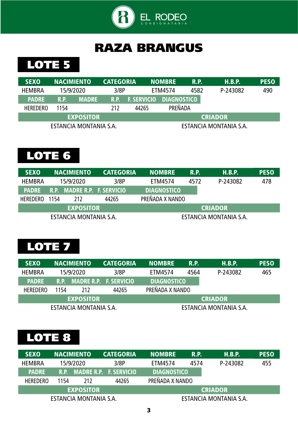

## LOTE 5

| <b>SEXO</b>            | <b>NACIMIENTO</b> |                  | <b>CATEGORIA</b> |                    | <b>NOMBRE</b>      | R.P. | H.B.P.                 | <b>PESO</b> |
|------------------------|-------------------|------------------|------------------|--------------------|--------------------|------|------------------------|-------------|
| <b>HEMBRA</b>          |                   | 15/9/2020        | 3/8P             |                    | ETM4574            | 4582 | P-243082               | 490         |
| <b>PADRE</b>           | R.P.              | <b>MADRE</b>     | R.P.             | <b>F. SERVICIO</b> | <b>DIAGNOSTICO</b> |      |                        |             |
| <b>HEREDERO</b>        | 1154              |                  | 212              | 44265              | PREÑADA            |      |                        |             |
|                        |                   | <b>EXPOSITOR</b> |                  |                    |                    |      | <b>CRIADOR</b>         |             |
| ESTANCIA MONTANIA S.A. |                   |                  |                  |                    |                    |      | ESTANCIA MONTANIA S.A. |             |

# LOTE 6

| <b>SEXO</b>     |      | <b>NACIMIENTO</b>           | <b>CATEGORIA</b> | <b>NOMBRE</b><br><b>R.P.</b> |      | H.B.P.                 | <b>PESO</b> |
|-----------------|------|-----------------------------|------------------|------------------------------|------|------------------------|-------------|
| <b>HEMBRA</b>   |      | 15/9/2020                   | 3/8P             | ETM4574                      | 4572 | P-243082               | 478         |
| <b>PADRE</b>    |      | R.P. MADRE R.P. F. SERVICIO |                  | <b>DIAGNOSTICO</b>           |      |                        |             |
| <b>HEREDERO</b> | 1154 | 212                         | 44265            | PREÑADA X NANDO              |      |                        |             |
|                 |      | <b>EXPOSITOR</b>            |                  |                              |      | <b>CRIADOR</b>         |             |
|                 |      | ESTANCIA MONTANIA S.A.      |                  |                              |      | ESTANCIA MONTANIA S.A. |             |

#### LOTE 7

| <b>SEXO</b>     |      | <b>NACIMIENTO</b>      | <b>CATEGORIA</b>            | <b>NOMBRE</b><br>R.P. |  | H.B.P.                 | <b>PESO</b> |  |  |          |     |
|-----------------|------|------------------------|-----------------------------|-----------------------|--|------------------------|-------------|--|--|----------|-----|
| <b>HEMBRA</b>   |      | 15/9/2020              | 3/8P                        | 4564<br>ETM4574       |  |                        |             |  |  | P-243082 | 465 |
| <b>PADRE</b>    |      |                        | R.P. MADRE R.P. F. SERVICIO | <b>DIAGNOSTICO</b>    |  |                        |             |  |  |          |     |
| <b>HEREDERO</b> | 1154 | <b>212</b>             | 44265                       | PREÑADA X NANDO       |  |                        |             |  |  |          |     |
|                 |      | <b>EXPOSITOR</b>       |                             |                       |  | <b>CRIADOR</b>         |             |  |  |          |     |
|                 |      | ESTANCIA MONTANIA S.A. |                             |                       |  | ESTANCIA MONTANIA S.A. |             |  |  |          |     |

| <b>SEXO</b>     |      | <b>NACIMIENTO</b>      | <b>CATEGORIA</b>            | <b>NOMBRE</b>      | <b>R.P.</b> | H.B.P.                 | <b>PESO</b> |
|-----------------|------|------------------------|-----------------------------|--------------------|-------------|------------------------|-------------|
| <b>HEMBRA</b>   |      | 15/9/2020              | 3/8P                        | ETM4574            | 4574        | P-243082               | 455         |
| <b>PADRE</b>    |      |                        | R.P. MADRE R.P. F. SERVICIO | <b>DIAGNOSTICO</b> |             |                        |             |
| <b>HEREDERO</b> | 1154 | 212                    | 44265                       | PREÑADA X NANDO    |             |                        |             |
|                 |      | <b>EXPOSITOR</b>       |                             |                    |             | <b>CRIADOR</b>         |             |
|                 |      | ESTANCIA MONTANIA S.A. |                             |                    |             | ESTANCIA MONTANIA S.A. |             |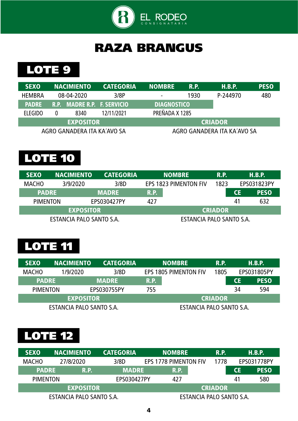

#### LOTE 9

| <b>SEXO</b>    | <b>NACIMIENTO</b>           | <b>CATEGORIA</b> | <b>NOMBRE</b><br><b>R.P.</b> |                | H.B.P.                      | <b>PESO</b> |          |     |
|----------------|-----------------------------|------------------|------------------------------|----------------|-----------------------------|-------------|----------|-----|
| <b>HEMBRA</b>  | 08-04-2020                  | 3/8P             | 1930<br>۰                    |                |                             |             | P-244970 | 480 |
| <b>PADRE</b>   | R.P. MADRE R.P. F. SERVICIO |                  | <b>DIAGNOSTICO</b>           |                |                             |             |          |     |
| <b>ELEGIDO</b> | 8340                        | 12/11/2021       |                              | PREÑADA X 1285 |                             |             |          |     |
|                | <b>EXPOSITOR</b>            |                  | <b>CRIADOR</b>               |                |                             |             |          |     |
|                | AGRO GANADERA ITA KA'AVO SA |                  |                              |                | AGRO GANADERA ITA KA'AVO SA |             |          |     |

## LOTE 10

| <b>SEXO</b>              | <b>NACIMIENTO</b> | <b>CATEGORIA</b> |                       | <b>NOMBRE</b>            | R.P. |           | H.B.P.      |  |
|--------------------------|-------------------|------------------|-----------------------|--------------------------|------|-----------|-------------|--|
| <b>MACHO</b>             | 3/9/2020          | 3/8D             | EPS 1823 PIMENTON FIV |                          | 1823 |           | EPS031823PY |  |
| <b>PADRE</b>             |                   | <b>MADRE</b>     | <b>R.P.</b>           |                          |      | <b>CE</b> | <b>PESO</b> |  |
| <b>PIMENTON</b>          |                   | EPS030427PY      | 427                   |                          |      | 41        | 632         |  |
| <b>EXPOSITOR</b>         |                   |                  | <b>CRIADOR</b>        |                          |      |           |             |  |
| ESTANCIA PALO SANTO S.A. |                   |                  |                       | ESTANCIA PALO SANTO S.A. |      |           |             |  |

## LOTE 11

| <b>SEXO</b>              | <b>CATEGORIA</b><br><b>NACIMIENTO</b><br><b>NOMBRE</b> |                |                          | R.P.                         | H.B.P. |    |             |
|--------------------------|--------------------------------------------------------|----------------|--------------------------|------------------------------|--------|----|-------------|
| <b>MACHO</b>             | 1/9/2020                                               | 3/8D           |                          | <b>EPS 1805 PIMENTON FIV</b> | 1805   |    | EPS031805PY |
| <b>PADRE</b>             |                                                        | <b>MADRE</b>   | <b>R.P.</b>              |                              |        | СE | <b>PESO</b> |
| <b>PIMENTON</b>          |                                                        | EPS030755PY    | 755                      |                              |        | 34 | 594         |
| <b>EXPOSITOR</b>         |                                                        | <b>CRIADOR</b> |                          |                              |        |    |             |
| ESTANCIA PALO SANTO S.A. |                                                        |                | ESTANCIA PALO SANTO S.A. |                              |        |    |             |

| <b>SEXO</b>              | <b>NACIMIENTO</b><br><b>CATEGORIA</b> |              |                | <b>NOMBRE</b>                | R.P.                     |  | H.B.P.    |             |
|--------------------------|---------------------------------------|--------------|----------------|------------------------------|--------------------------|--|-----------|-------------|
| <b>MACHO</b>             | 27/8/2020                             | 3/8D         |                | <b>EPS 1778 PIMENTON FIV</b> |                          |  |           | EPS031778PY |
| <b>PADRE</b>             | R.P.                                  | <b>MADRE</b> |                | R.P.                         |                          |  | <b>CE</b> | <b>PESO</b> |
| <b>PIMENTON</b>          |                                       | EPS030427PY  |                | 427                          |                          |  | 41        | 580         |
|                          | <b>EXPOSITOR</b>                      |              | <b>CRIADOR</b> |                              |                          |  |           |             |
| ESTANCIA PALO SANTO S.A. |                                       |              |                |                              | ESTANCIA PALO SANTO S.A. |  |           |             |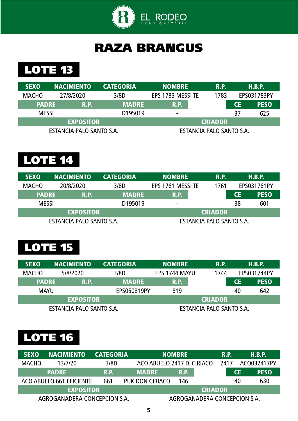

## LOTE 13

| <b>SEXO</b><br><b>NACIMIENTO</b> |                          | <b>CATEGORIA</b><br><b>NOMBRE</b> |                   | R.P.                     |    | H.B.P.      |
|----------------------------------|--------------------------|-----------------------------------|-------------------|--------------------------|----|-------------|
| <b>MACHO</b><br>27/8/2020        |                          | 3/8D                              | EPS 1783 MESSI TE | 1783                     |    | EPS031783PY |
| <b>PADRE</b><br>R.P.             |                          | <b>MADRE</b>                      | R.P.              |                          | СE | <b>PESO</b> |
| <b>MESSI</b>                     |                          | D <sub>1950</sub> 19              | $\blacksquare$    |                          | 37 | 625         |
|                                  | <b>EXPOSITOR</b>         |                                   |                   | <b>CRIADOR</b>           |    |             |
|                                  | ESTANCIA PALO SANTO S.A. |                                   |                   | ESTANCIA PALO SANTO S.A. |    |             |

# LOTE 14

| <b>SEXO</b>  | <b>NACIMIENTO</b>        | <b>CATEGORIA</b><br><b>NOMBRE</b> |                          | R.P.           |    | H.B.P.      |
|--------------|--------------------------|-----------------------------------|--------------------------|----------------|----|-------------|
| <b>MACHO</b> | 20/8/2020                | 3/8D                              | EPS 1761 MESSI TE        | 1761           |    | EPS031761PY |
| <b>PADRE</b> | R.P.                     | <b>MADRE</b>                      | R.P.                     |                | СE | <b>PESO</b> |
| <b>MESSI</b> |                          | D <sub>1950</sub> 19              | ٠                        |                | 38 | 601         |
|              | <b>EXPOSITOR</b>         |                                   |                          | <b>CRIADOR</b> |    |             |
|              | ESTANCIA PALO SANTO S.A. |                                   | ESTANCIA PALO SANTO S.A. |                |    |             |

# LOTE 15

| <b>SEXO</b>                 | <b>NACIMIENTO</b>        | <b>CATEGORIA</b> | <b>NOMBRE</b> | <b>R.P.</b>              |    | H.B.P.      |
|-----------------------------|--------------------------|------------------|---------------|--------------------------|----|-------------|
| <b>MACHO</b>                | 5/8/2020                 | 3/8D             | EPS 1744 MAYU | 1744                     |    | EPS031744PY |
| <b>PADRE</b><br><b>R.P.</b> |                          | <b>MADRE</b>     | <b>R.P.</b>   |                          |    | <b>PESO</b> |
| <b>MAYU</b>                 |                          | EPS050819PY      | 819           |                          | 40 | 642         |
|                             | <b>EXPOSITOR</b>         |                  |               | <b>CRIADOR</b>           |    |             |
|                             | ESTANCIA PALO SANTO S.A. |                  |               | ESTANCIA PALO SANTO S.A. |    |             |

| <b>SEXO</b>  | <b>NACIMIENTO</b>            | <b>CATEGORIA</b> |                            | <b>NOMBRE</b> |                              |       | <b>R.P.</b> | H.B.P.      |
|--------------|------------------------------|------------------|----------------------------|---------------|------------------------------|-------|-------------|-------------|
| <b>MACHO</b> | 13/7/20                      | 3/8D             | ACO ABUELO 2417 D. CIRIACO |               |                              | -2417 |             | AC0032417PY |
|              | <b>PADRE</b>                 | R.P.             | <b>MADRE</b>               | R.P.          |                              |       | CE          | <b>PESO</b> |
|              | ACO ABUELO 661 EFICIENTE     | 661              | PUK DON CIRIACO            | 146           |                              |       | 40          | 630         |
|              | <b>EXPOSITOR</b>             |                  |                            |               | <b>CRIADOR</b>               |       |             |             |
|              | AGROGANADERA CONCEPCION S.A. |                  |                            |               | AGROGANADERA CONCEPCION S.A. |       |             |             |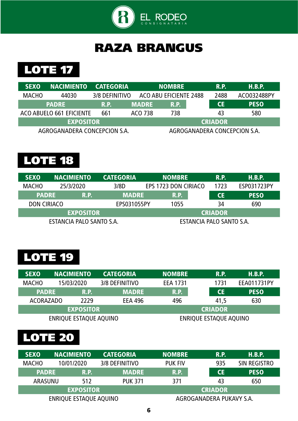



| <b>SEXO</b>  | <b>NACIMIENTO</b>            | <b>CATEGORIA</b> |              | <b>NOMBRE</b>          | <b>R.P.</b>    | <b>H.B.P.</b>                |
|--------------|------------------------------|------------------|--------------|------------------------|----------------|------------------------------|
| <b>MACHO</b> | 44030                        | 3/8 DEFINITIVO   |              | ACO ABU EFICIENTE 2488 | 2488           | ACO032488PY                  |
|              | <b>PADRE</b>                 | R.P.             | <b>MADRE</b> | R.P.                   | <b>CE</b>      | <b>PESO</b>                  |
|              | ACO ABUELO 661 EFICIENTE     | 661              | ACO 738      | 738                    | 43             | 580                          |
|              | <b>EXPOSITOR</b>             |                  |              |                        | <b>CRIADOR</b> |                              |
|              | AGROGANADERA CONCEPCION S.A. |                  |              |                        |                | AGROGANADERA CONCEPCION S.A. |

## LOTE 18

| <b>SEXO</b>        | <b>NACIMIENTO</b>        | <b>CATEGORIA</b> | <b>NOMBRE</b>        | <b>R.P.</b>              | H.B.P.      |
|--------------------|--------------------------|------------------|----------------------|--------------------------|-------------|
| <b>MACHO</b>       | 25/3/2020                | 3/8D             | EPS 1723 DON CIRIACO | 1723                     | ESP031723PY |
| <b>PADRE</b>       | R.P.                     | <b>MADRE</b>     | R.P.                 | <b>CE</b>                | <b>PESO</b> |
| <b>DON CIRIACO</b> |                          | EPS031055PY      | 1055                 | 34                       | 690         |
|                    | <b>EXPOSITOR</b>         |                  |                      | <b>CRIADOR</b>           |             |
|                    | ESTANCIA PALO SANTO S.A. |                  |                      | ESTANCIA PALO SANTO S.A. |             |

## LOTE 19

| <b>SEXO</b>      | <b>NACIMIENTO</b> |                        | <b>CATEGORIA</b> | <b>NOMBRE</b>   | R.P.                   | H.B.P.      |
|------------------|-------------------|------------------------|------------------|-----------------|------------------------|-------------|
| <b>MACHO</b>     | 15/03/2020        |                        | 3/8 DEFINITIVO   | <b>EEA 1731</b> | 1731                   | EEA011731PY |
| <b>PADRE</b>     |                   | <b>R.P.</b>            | <b>MADRE</b>     | <b>R.P.</b>     | <b>CE</b>              | <b>PESO</b> |
| <b>ACORAZADO</b> |                   | 2229                   | <b>EEA 496</b>   | 496             | 41,5                   | 630         |
|                  |                   | <b>EXPOSITOR</b>       |                  |                 | <b>CRIADOR</b>         |             |
|                  |                   | ENRIQUE ESTAQUE AQUINO |                  |                 | ENRIQUE ESTAQUE AQUINO |             |

| <b>SEXO</b>  | <b>NACIMIENTO</b>      | <b>CATEGORIA</b> | <b>NOMBRE</b>  | R.P.                     | H.B.P.       |
|--------------|------------------------|------------------|----------------|--------------------------|--------------|
| <b>MACHO</b> | 10/01/2020             | 3/8 DEFINITIVO   | <b>PUK FIV</b> | 935                      | SIN REGISTRO |
| <b>PADRE</b> | R.P.                   | <b>MADRE</b>     | R.P.           | <b>CE</b>                | <b>PESO</b>  |
| ARASUNU      | 512                    | <b>PUK 371</b>   | 371            | 43                       | 650          |
|              | <b>EXPOSITOR</b>       |                  |                | <b>CRIADOR</b>           |              |
|              | ENRIQUE ESTAQUE AQUINO |                  |                | AGROGANADERA PUKAVY S.A. |              |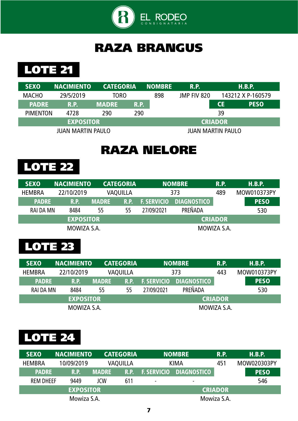

**LOTE 21** 

| <b>SEXO</b>     | <b>NACIMIENTO</b>        | <b>CATEGORIA</b> |                   | <b>NOMBRE</b> | <b>R.P.</b> |                | H.B.P.            |
|-----------------|--------------------------|------------------|-------------------|---------------|-------------|----------------|-------------------|
| <b>MACHO</b>    | 29/5/2019                | <b>TORO</b>      |                   | 898           | JMP FIV 820 |                | 143212 X P-160579 |
| <b>PADRE</b>    | R.P.                     | <b>MADRE</b>     | R.P.              |               |             | <b>CE</b>      | <b>PESO</b>       |
| <b>PIMENTON</b> | 4728                     | 290              | 290               |               |             | 39             |                   |
|                 | <b>EXPOSITOR</b>         |                  |                   |               |             | <b>CRIADOR</b> |                   |
|                 | <b>JUAN MARTIN PAULO</b> |                  | JUAN MARTIN PAULO |               |             |                |                   |

#### RAZA NELORE



| <b>NACIMIENTO</b><br><b>SEXO</b> |                  |                        | <b>CATEGORIA</b> |                                          | <b>NOMBRE</b>  |     | H.B.P.      |
|----------------------------------|------------------|------------------------|------------------|------------------------------------------|----------------|-----|-------------|
| <b>HEMBRA</b>                    | 22/10/2019       | 373<br><b>VAQUILLA</b> |                  |                                          |                | 489 | MOW010373PY |
| <b>PADRE</b><br><b>R.P.</b>      |                  | <b>MADRE</b>           | <b>R.P.</b>      | <b>DIAGNOSTICO</b><br><b>F. SERVICIO</b> |                |     | <b>PESO</b> |
| RAI DA MN                        | 8484             | 55                     | 55               | 27/09/2021                               | PREÑADA        |     | 530         |
|                                  | <b>EXPOSITOR</b> |                        |                  |                                          | <b>CRIADOR</b> |     |             |
|                                  | MOWIZA S.A.      |                        |                  | MOWIZA S.A.                              |                |     |             |

# LOTE 23

| <b>SEXO</b>   | <b>INACIMIENTO</b><br><b>CATEGORIA</b>      |                                      |             |                    | <b>NOMBRE</b>      |         |                | H.B.P.      |     |
|---------------|---------------------------------------------|--------------------------------------|-------------|--------------------|--------------------|---------|----------------|-------------|-----|
| <b>HEMBRA</b> |                                             | 373<br>22/10/2019<br><b>VAQUILLA</b> |             |                    |                    | 443     |                | MOW010373PY |     |
|               | <b>PADRE</b><br><b>MADRE</b><br><b>R.P.</b> |                                      | <b>R.P.</b> | <b>F. SERVICIO</b> | <b>DIAGNOSTICO</b> |         |                | <b>PESO</b> |     |
| RAI DA MN     |                                             | 8484                                 | 55          | 55                 | 27/09/2021         | PREÑADA |                |             | 530 |
|               |                                             | <b>EXPOSITOR</b>                     |             |                    |                    |         | <b>CRIADOR</b> |             |     |
| MOWIZA S.A.   |                                             |                                      |             |                    | MOWIZA S.A.        |         |                |             |     |

| <b>SEXO</b>      | <b>CATEGORIA</b><br><b>NACIMIENTO</b><br><b>NOMBRE</b> |              |             | <b>R.P.</b>        |                          | H.B.P.         |  |             |
|------------------|--------------------------------------------------------|--------------|-------------|--------------------|--------------------------|----------------|--|-------------|
| <b>HEMBRA</b>    | 10/09/2019                                             |              | VAQUILLA    | <b>KIMA</b>        |                          | 451            |  | MOW020303PY |
| <b>PADRE</b>     | R.P.                                                   | <b>MADRE</b> | <b>R.P.</b> | <b>F. SERVICIO</b> | <b>DIAGNOSTICO</b>       |                |  | <b>PESO</b> |
| <b>REM DHEEF</b> | 9449                                                   | JCW          | 611         | $\blacksquare$     | $\overline{\phantom{0}}$ |                |  | 546         |
|                  | <b>EXPOSITOR</b>                                       |              |             |                    |                          | <b>CRIADOR</b> |  |             |
| Mowiza S.A.      |                                                        |              |             | Mowiza S.A.        |                          |                |  |             |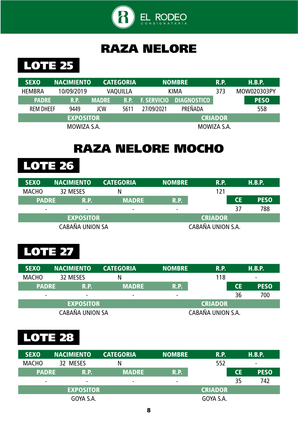

### RAZA NELORE



| <b>SEXO</b>                        | <b>NACIMIENTO</b> |              | <b>CATEGORIA</b> |                    | <b>NOMBRE</b>      | <b>R.P.</b> |  | H.B.P.      |
|------------------------------------|-------------------|--------------|------------------|--------------------|--------------------|-------------|--|-------------|
| <b>HEMBRA</b>                      | 10/09/2019        |              | <b>VAQUILLA</b>  | <b>KIMA</b>        |                    | 373         |  | MOW020303PY |
| <b>PADRE</b>                       | <b>R.P.</b>       | <b>MADRE</b> | R.P.             | <b>F. SERVICIO</b> | <b>DIAGNOSTICO</b> |             |  | <b>PESO</b> |
| <b>REM DHEEF</b>                   | 9449              | JCW          | 5611             | 27/09/2021         | PREÑADA            |             |  | 558         |
| <b>EXPOSITOR</b><br><b>CRIADOR</b> |                   |              |                  |                    |                    |             |  |             |
|                                    | MOWIZA S.A.       |              |                  | MOWIZA S.A.        |                    |             |  |             |

## RAZA NELORE MOCHO

LOTE 26

| <b>SEXO</b>          | <b>NACIMIENTO</b> | <b>CATEGORIA</b>         | <b>NOMBRE</b>            | <b>R.P.</b>    |           | H.B.P.      |
|----------------------|-------------------|--------------------------|--------------------------|----------------|-----------|-------------|
| <b>MACHO</b>         | 32 MESES          | N                        |                          | 121            |           |             |
| <b>PADRE</b><br>R.P. |                   | <b>MADRE</b>             | <b>R.P.</b>              |                | <b>CE</b> | <b>PESO</b> |
| -                    | $\blacksquare$    | $\overline{\phantom{0}}$ | $\overline{\phantom{0}}$ |                | 37        | 788         |
|                      | <b>EXPOSITOR</b>  |                          |                          | <b>CRIADOR</b> |           |             |
|                      | CABAÑA UNION SA   |                          | CABAÑA UNION S.A.        |                |           |             |

#### **LOTE 27**

| <b>SEXO</b>  | <b>NACIMIENTO</b>        | <b>CATEGORIA</b> | <b>NOMBRE</b>            | <b>R.P.</b>       |           | H.B.P.                   |
|--------------|--------------------------|------------------|--------------------------|-------------------|-----------|--------------------------|
| <b>MACHO</b> | 32 MESES                 | N                |                          | 118               |           | $\overline{\phantom{0}}$ |
| <b>PADRE</b> | R.P.                     | <b>MADRE</b>     | <b>R.P.</b>              |                   | <b>CE</b> | <b>PESO</b>              |
| -            | $\overline{\phantom{0}}$ | -                | $\overline{\phantom{0}}$ |                   | 36        | 700                      |
|              | <b>EXPOSITOR</b>         |                  |                          | <b>CRIADOR</b>    |           |                          |
|              | CABAÑA UNION SA          |                  |                          | CABAÑA UNION S.A. |           |                          |

| <b>SEXO</b>              |  | <b>NACIMIENTO</b> | <b>CATEGORIA</b> | <b>NOMBRE</b>  | <b>R.P.</b>    |           | H.B.P.                   |
|--------------------------|--|-------------------|------------------|----------------|----------------|-----------|--------------------------|
| <b>MACHO</b>             |  | 32 MESES          |                  |                | 552            |           | $\overline{\phantom{0}}$ |
| <b>PADRE</b>             |  | R.P.              | <b>MADRE</b>     | R.P.           |                | <b>CE</b> | <b>PESO</b>              |
| $\overline{\phantom{0}}$ |  | $\blacksquare$    | $\equiv$         | $\blacksquare$ |                | 35        | 742                      |
| <b>EXPOSITOR</b>         |  |                   |                  |                | <b>CRIADOR</b> |           |                          |
| GOYA S.A.                |  |                   |                  |                | GOYA S.A.      |           |                          |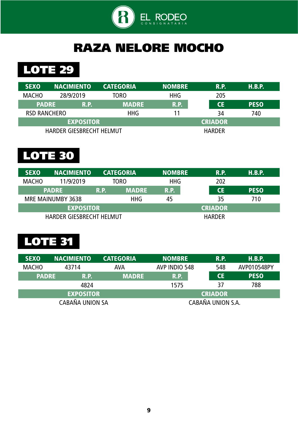

## RAZA NELORE MOCHO

## LOTE 29

| <b>SEXO</b>                 | <b>NACIMIENTO</b>               | <b>CATEGORIA</b> | <b>NOMBRE</b> | <b>R.P.</b>    | H.B.P.      |
|-----------------------------|---------------------------------|------------------|---------------|----------------|-------------|
| <b>MACHO</b>                | 28/9/2019                       | TORO             | <b>HHG</b>    | 205            |             |
| <b>PADRE</b><br><b>R.P.</b> |                                 | <b>MADRE</b>     | <b>R.P.</b>   | <b>CE</b>      | <b>PESO</b> |
| <b>RSD RANCHERO</b>         |                                 | <b>HHG</b>       | 11            | 34             | 740         |
|                             | <b>EXPOSITOR</b>                |                  |               | <b>CRIADOR</b> |             |
|                             | <b>HARDER GIESBRECHT HELMUT</b> |                  |               | <b>HARDER</b>  |             |

# LOTE 30

| <b>SEXO</b>  | <b>NACIMIENTO</b>               |             | <b>CATEGORIA</b> | <b>INOMBRE</b> | <b>R.P.</b> | H.B.P.      |
|--------------|---------------------------------|-------------|------------------|----------------|-------------|-------------|
| <b>MACHO</b> | 11/9/2019                       | TORO        |                  | <b>HHG</b>     | 202         |             |
| <b>PADRE</b> |                                 | <b>R.P.</b> | <b>MADRE</b>     | <b>R.P.</b>    | <b>CE</b>   | <b>PESO</b> |
|              | MRE MAINUMBY 3638               |             | <b>HHG</b>       | 45             | 35          | 710         |
|              | <b>EXPOSITOR</b>                |             |                  | <b>CRIADOR</b> |             |             |
|              | <b>HARDER GIESBRECHT HELMUT</b> |             |                  | <b>HARDER</b>  |             |             |

| <b>SEXO</b>  | <b>NACIMIENTO</b><br><b>CATEGORIA</b> |  | <b>NOMBRE</b> | <b>R.P.</b>       | H.B.P.      |
|--------------|---------------------------------------|--|---------------|-------------------|-------------|
| <b>MACHO</b> | <b>AVA</b><br>43714                   |  | AVP INDIO 548 | 548               | AVP010548PY |
|              | <b>PADRE</b><br>R.P.                  |  | R.P.          | <b>CE</b>         | <b>PESO</b> |
|              | 4824                                  |  | 1575          | 37                | 788         |
|              | <b>EXPOSITOR</b>                      |  |               | <b>CRIADOR</b>    |             |
|              | <b>CABAÑA UNION SA</b>                |  |               | CABAÑA UNION S.A. |             |